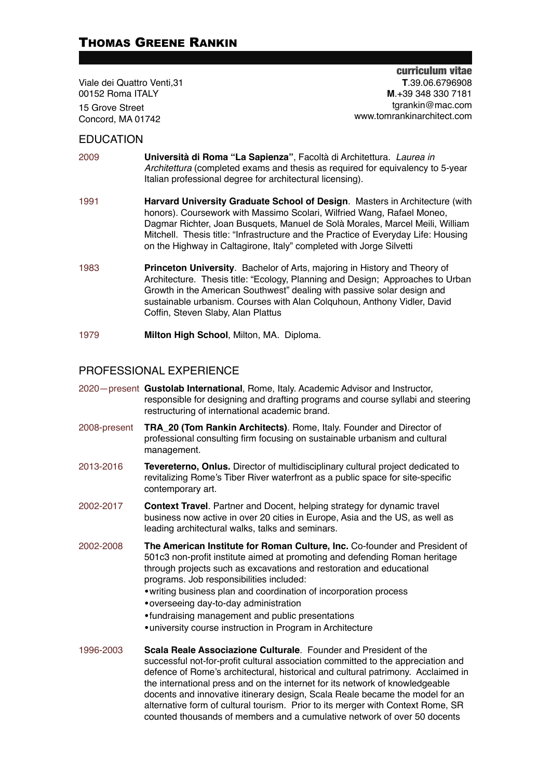# THOMAS GREENE RANKIN

Viale dei Quattro Venti,31 00152 Roma ITALY 15 Grove Street Concord, MA 01742

curriculum vitae **T**.39.06.6796908 **M**.+39 348 330 7181 tgrankin@mac.com www.tomrankinarchitect.com

#### **EDUCATION**

- 2009 **Università di Roma "La Sapienza"**, Facoltà di Architettura. *Laurea in Architettura* (completed exams and thesis as required for equivalency to 5-year Italian professional degree for architectural licensing).
- 1991 **Harvard University Graduate School of Design**. Masters in Architecture (with honors). Coursework with Massimo Scolari, Wilfried Wang, Rafael Moneo, Dagmar Richter, Joan Busquets, Manuel de Solà Morales, Marcel Meili, William Mitchell. Thesis title: "Infrastructure and the Practice of Everyday Life: Housing on the Highway in Caltagirone, Italy" completed with Jorge Silvetti
- 1983 **Princeton University**. Bachelor of Arts, majoring in History and Theory of Architecture. Thesis title: "Ecology, Planning and Design; Approaches to Urban Growth in the American Southwest" dealing with passive solar design and sustainable urbanism. Courses with Alan Colquhoun, Anthony Vidler, David Coffin, Steven Slaby, Alan Plattus
- 1979 **Milton High School**, Milton, MA. Diploma.

### PROFESSIONAL EXPERIENCE

- 2020—present **Gustolab International**, Rome, Italy. Academic Advisor and Instructor, responsible for designing and drafting programs and course syllabi and steering restructuring of international academic brand.
- 2008-present **TRA\_20 (Tom Rankin Architects)**. Rome, Italy. Founder and Director of professional consulting firm focusing on sustainable urbanism and cultural management.
- 2013-2016 **Tevereterno, Onlus.** Director of multidisciplinary cultural project dedicated to revitalizing Rome's Tiber River waterfront as a public space for site-specific contemporary art.
- 2002-2017 **Context Travel**. Partner and Docent, helping strategy for dynamic travel business now active in over 20 cities in Europe, Asia and the US, as well as leading architectural walks, talks and seminars.
- 2002-2008 **The American Institute for Roman Culture, Inc.** Co-founder and President of 501c3 non-profit institute aimed at promoting and defending Roman heritage through projects such as excavations and restoration and educational programs. Job responsibilities included:
	- •writing business plan and coordination of incorporation process
	- •overseeing day-to-day administration
	- •fundraising management and public presentations
	- •university course instruction in Program in Architecture
- 1996-2003 **Scala Reale Associazione Culturale**. Founder and President of the successful not-for-profit cultural association committed to the appreciation and defence of Rome's architectural, historical and cultural patrimony. Acclaimed in the international press and on the internet for its network of knowledgeable docents and innovative itinerary design, Scala Reale became the model for an alternative form of cultural tourism. Prior to its merger with Context Rome, SR counted thousands of members and a cumulative network of over 50 docents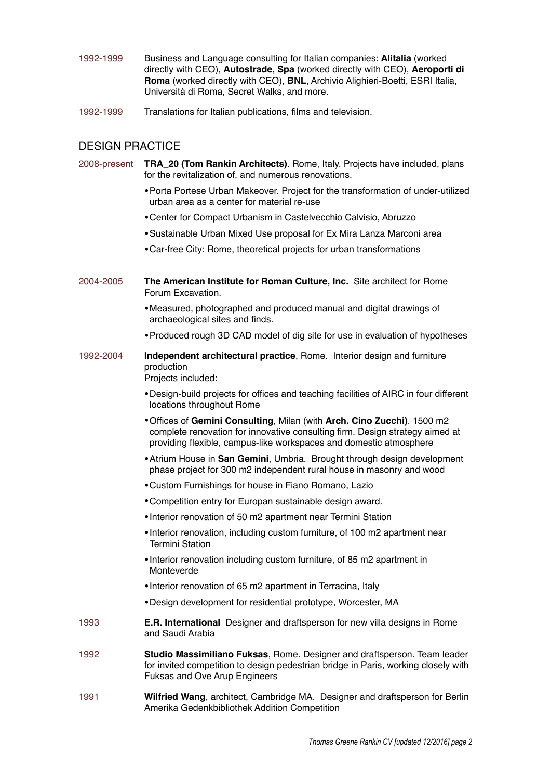- 1992-1999 Business and Language consulting for Italian companies: **Alitalia** (worked directly with CEO), **Autostrade, Spa** (worked directly with CEO), **Aeroporti di Roma** (worked directly with CEO), **BNL**, Archivio Alighieri-Boetti, ESRI Italia, Università di Roma, Secret Walks, and more.
- 1992-1999 Translations for Italian publications, films and television.

## DESIGN PRACTICE

| 2008-present | TRA_20 (Tom Rankin Architects). Rome, Italy. Projects have included, plans<br>for the revitalization of, and numerous renovations.                                                                                            |
|--------------|-------------------------------------------------------------------------------------------------------------------------------------------------------------------------------------------------------------------------------|
|              | • Porta Portese Urban Makeover. Project for the transformation of under-utilized<br>urban area as a center for material re-use                                                                                                |
|              | • Center for Compact Urbanism in Castelvecchio Calvisio, Abruzzo                                                                                                                                                              |
|              | • Sustainable Urban Mixed Use proposal for Ex Mira Lanza Marconi area                                                                                                                                                         |
|              | • Car-free City: Rome, theoretical projects for urban transformations                                                                                                                                                         |
| 2004-2005    | The American Institute for Roman Culture, Inc. Site architect for Rome<br>Forum Excavation.                                                                                                                                   |
|              | • Measured, photographed and produced manual and digital drawings of<br>archaeological sites and finds.                                                                                                                       |
|              | • Produced rough 3D CAD model of dig site for use in evaluation of hypotheses                                                                                                                                                 |
| 1992-2004    | Independent architectural practice, Rome. Interior design and furniture<br>production<br>Projects included:                                                                                                                   |
|              | . Design-build projects for offices and teaching facilities of AIRC in four different<br>locations throughout Rome                                                                                                            |
|              | . Offices of Gemini Consulting, Milan (with Arch. Cino Zucchi). 1500 m2<br>complete renovation for innovative consulting firm. Design strategy aimed at<br>providing flexible, campus-like workspaces and domestic atmosphere |
|              | • Atrium House in San Gemini, Umbria. Brought through design development<br>phase project for 300 m2 independent rural house in masonry and wood                                                                              |
|              | • Custom Furnishings for house in Fiano Romano, Lazio                                                                                                                                                                         |
|              | • Competition entry for Europan sustainable design award.                                                                                                                                                                     |
|              | • Interior renovation of 50 m2 apartment near Termini Station                                                                                                                                                                 |
|              | • Interior renovation, including custom furniture, of 100 m2 apartment near<br><b>Termini Station</b>                                                                                                                         |
|              | . Interior renovation including custom furniture, of 85 m2 apartment in<br>Monteverde                                                                                                                                         |
|              | • Interior renovation of 65 m2 apartment in Terracina, Italy                                                                                                                                                                  |
|              | . Design development for residential prototype, Worcester, MA                                                                                                                                                                 |
| 1993         | <b>E.R. International</b> Designer and draftsperson for new villa designs in Rome<br>and Saudi Arabia                                                                                                                         |
| 1992         | Studio Massimiliano Fuksas, Rome. Designer and draftsperson. Team leader<br>for invited competition to design pedestrian bridge in Paris, working closely with<br>Fuksas and Ove Arup Engineers                               |

1991 **Wilfried Wang**, architect, Cambridge MA. Designer and draftsperson for Berlin Amerika Gedenkbibliothek Addition Competition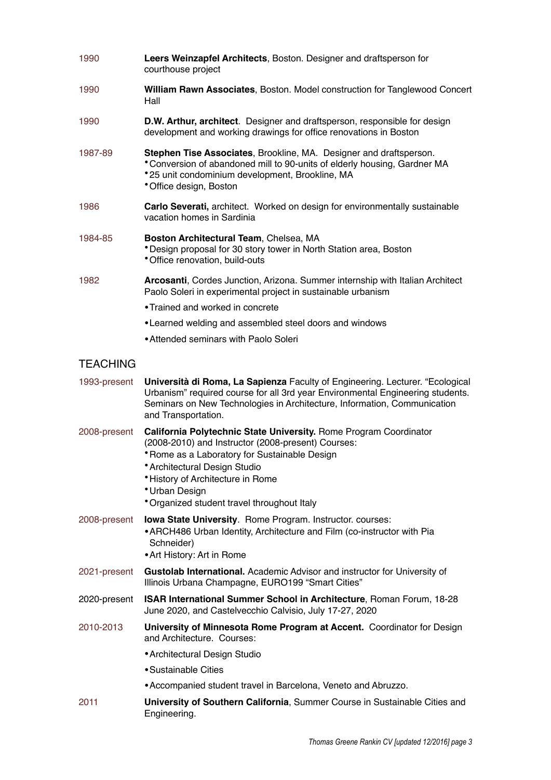| 1990            | Leers Weinzapfel Architects, Boston. Designer and draftsperson for<br>courthouse project                                                                                                                                                                                                                       |
|-----------------|----------------------------------------------------------------------------------------------------------------------------------------------------------------------------------------------------------------------------------------------------------------------------------------------------------------|
| 1990            | William Rawn Associates, Boston. Model construction for Tanglewood Concert<br>Hall                                                                                                                                                                                                                             |
| 1990            | D.W. Arthur, architect. Designer and draftsperson, responsible for design<br>development and working drawings for office renovations in Boston                                                                                                                                                                 |
| 1987-89         | Stephen Tise Associates, Brookline, MA. Designer and draftsperson.<br>* Conversion of abandoned mill to 90-units of elderly housing, Gardner MA<br>*25 unit condominium development, Brookline, MA<br>* Office design, Boston                                                                                  |
| 1986            | Carlo Severati, architect. Worked on design for environmentally sustainable<br>vacation homes in Sardinia                                                                                                                                                                                                      |
| 1984-85         | Boston Architectural Team, Chelsea, MA<br>* Design proposal for 30 story tower in North Station area, Boston<br>* Office renovation, build-outs                                                                                                                                                                |
| 1982            | Arcosanti, Cordes Junction, Arizona. Summer internship with Italian Architect<br>Paolo Soleri in experimental project in sustainable urbanism                                                                                                                                                                  |
|                 | • Trained and worked in concrete                                                                                                                                                                                                                                                                               |
|                 | • Learned welding and assembled steel doors and windows                                                                                                                                                                                                                                                        |
|                 | • Attended seminars with Paolo Soleri                                                                                                                                                                                                                                                                          |
| <b>TEACHING</b> |                                                                                                                                                                                                                                                                                                                |
| 1993-present    | Università di Roma, La Sapienza Faculty of Engineering. Lecturer. "Ecological<br>Urbanism" required course for all 3rd year Environmental Engineering students.<br>Seminars on New Technologies in Architecture, Information, Communication<br>and Transportation.                                             |
| 2008-present    | California Polytechnic State University. Rome Program Coordinator<br>(2008-2010) and Instructor (2008-present) Courses:<br>* Rome as a Laboratory for Sustainable Design<br>* Architectural Design Studio<br>* History of Architecture in Rome<br>* Urban Design<br>*Organized student travel throughout Italy |
| 2008-present    | Iowa State University. Rome Program. Instructor. courses:<br>• ARCH486 Urban Identity, Architecture and Film (co-instructor with Pia<br>Schneider)<br>• Art History: Art in Rome                                                                                                                               |
| 2021-present    | Gustolab International. Academic Advisor and instructor for University of<br>Illinois Urbana Champagne, EURO199 "Smart Cities"                                                                                                                                                                                 |
| 2020-present    | ISAR International Summer School in Architecture, Roman Forum, 18-28<br>June 2020, and Castelvecchio Calvisio, July 17-27, 2020                                                                                                                                                                                |
| 2010-2013       | University of Minnesota Rome Program at Accent. Coordinator for Design<br>and Architecture. Courses:                                                                                                                                                                                                           |
|                 | • Architectural Design Studio                                                                                                                                                                                                                                                                                  |
|                 | • Sustainable Cities                                                                                                                                                                                                                                                                                           |
|                 | • Accompanied student travel in Barcelona, Veneto and Abruzzo.                                                                                                                                                                                                                                                 |
| 2011            | University of Southern California, Summer Course in Sustainable Cities and<br>Engineering.                                                                                                                                                                                                                     |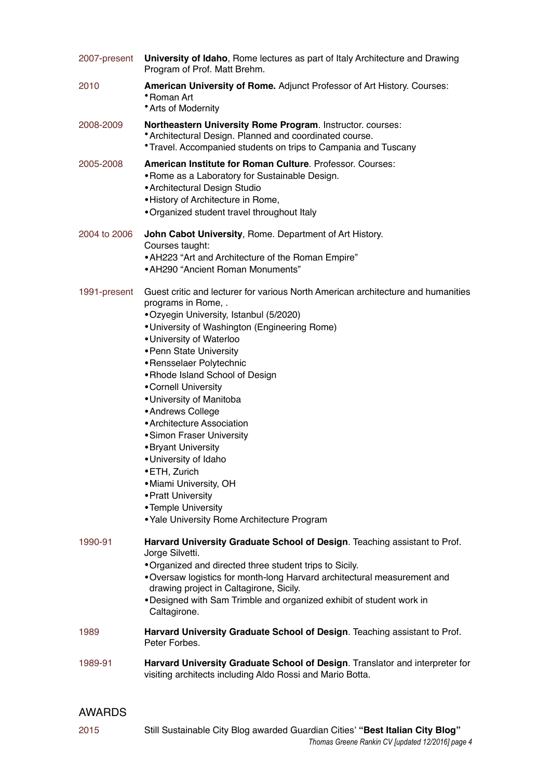| 2007-present | University of Idaho, Rome lectures as part of Italy Architecture and Drawing<br>Program of Prof. Matt Brehm.                                                                                                                                                                                                                                                                                                                                                                                                                                                                                                                                        |
|--------------|-----------------------------------------------------------------------------------------------------------------------------------------------------------------------------------------------------------------------------------------------------------------------------------------------------------------------------------------------------------------------------------------------------------------------------------------------------------------------------------------------------------------------------------------------------------------------------------------------------------------------------------------------------|
| 2010         | American University of Rome. Adjunct Professor of Art History. Courses:<br>∙Roman Art<br>• Arts of Modernity                                                                                                                                                                                                                                                                                                                                                                                                                                                                                                                                        |
| 2008-2009    | Northeastern University Rome Program. Instructor. courses:<br>* Architectural Design. Planned and coordinated course.<br><i>*</i> Travel. Accompanied students on trips to Campania and Tuscany                                                                                                                                                                                                                                                                                                                                                                                                                                                     |
| 2005-2008    | <b>American Institute for Roman Culture</b> , Professor, Courses:<br>• Rome as a Laboratory for Sustainable Design.<br>• Architectural Design Studio<br>• History of Architecture in Rome,<br>. Organized student travel throughout Italy                                                                                                                                                                                                                                                                                                                                                                                                           |
| 2004 to 2006 | John Cabot University, Rome. Department of Art History.<br>Courses taught:<br>• AH223 "Art and Architecture of the Roman Empire"<br>• AH290 "Ancient Roman Monuments"                                                                                                                                                                                                                                                                                                                                                                                                                                                                               |
| 1991-present | Guest critic and lecturer for various North American architecture and humanities<br>programs in Rome, .<br>•Ozyegin University, Istanbul (5/2020)<br>• University of Washington (Engineering Rome)<br>• University of Waterloo<br>• Penn State University<br>• Rensselaer Polytechnic<br>• Rhode Island School of Design<br>• Cornell University<br>• University of Manitoba<br>• Andrews College<br>• Architecture Association<br>• Simon Fraser University<br>• Bryant University<br>• University of Idaho<br>• ETH, Zurich<br>• Miami University, OH<br>• Pratt University<br>• Temple University<br>• Yale University Rome Architecture Program |
| 1990-91      | Harvard University Graduate School of Design. Teaching assistant to Prof.<br>Jorge Silvetti.<br>. Organized and directed three student trips to Sicily.<br>. Oversaw logistics for month-long Harvard architectural measurement and<br>drawing project in Caltagirone, Sicily.<br>. Designed with Sam Trimble and organized exhibit of student work in<br>Caltagirone.                                                                                                                                                                                                                                                                              |
| 1989         | Harvard University Graduate School of Design. Teaching assistant to Prof.<br>Peter Forbes.                                                                                                                                                                                                                                                                                                                                                                                                                                                                                                                                                          |
| 1989-91      | Harvard University Graduate School of Design. Translator and interpreter for<br>visiting architects including Aldo Rossi and Mario Botta.                                                                                                                                                                                                                                                                                                                                                                                                                                                                                                           |

# AWARDS

2015 Still Sustainable City Blog awarded Guardian Cities' **"Best Italian City Blog"** *Thomas Greene Rankin CV [updated 12/2016] page 4*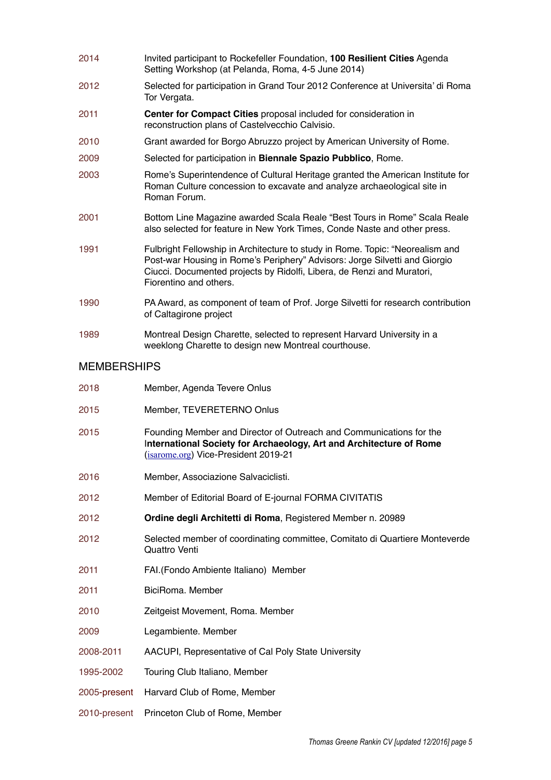- 2014 Invited participant to Rockefeller Foundation, **100 Resilient Cities** Agenda Setting Workshop (at Pelanda, Roma, 4-5 June 2014)
- 2012 Selected for participation in Grand Tour 2012 Conference at Universita' di Roma Tor Vergata.
- 2011 **Center for Compact Cities** proposal included for consideration in reconstruction plans of Castelvecchio Calvisio.
- 2010 Grant awarded for Borgo Abruzzo project by American University of Rome.
- 2009 Selected for participation in **Biennale Spazio Pubblico**, Rome.
- 2003 Rome's Superintendence of Cultural Heritage granted the American Institute for Roman Culture concession to excavate and analyze archaeological site in Roman Forum.
- 2001 Bottom Line Magazine awarded Scala Reale "Best Tours in Rome" Scala Reale also selected for feature in New York Times, Conde Naste and other press.
- 1991 Fulbright Fellowship in Architecture to study in Rome. Topic: "Neorealism and Post-war Housing in Rome's Periphery" Advisors: Jorge Silvetti and Giorgio Ciucci. Documented projects by Ridolfi, Libera, de Renzi and Muratori, Fiorentino and others.
- 1990 PA Award, as component of team of Prof. Jorge Silvetti for research contribution of Caltagirone project
- 1989 Montreal Design Charette, selected to represent Harvard University in a weeklong Charette to design new Montreal courthouse.

#### MEMBERSHIPS

| 2018         | Member, Agenda Tevere Onlus                                                                                                                                                        |
|--------------|------------------------------------------------------------------------------------------------------------------------------------------------------------------------------------|
| 2015         | Member, TEVERETERNO Onlus                                                                                                                                                          |
| 2015         | Founding Member and Director of Outreach and Communications for the<br>International Society for Archaeology, Art and Architecture of Rome<br>(isarome.org) Vice-President 2019-21 |
| 2016         | Member, Associazione Salvaciclisti.                                                                                                                                                |
| 2012         | Member of Editorial Board of E-journal FORMA CIVITATIS                                                                                                                             |
| 2012         | Ordine degli Architetti di Roma, Registered Member n. 20989                                                                                                                        |
| 2012         | Selected member of coordinating committee, Comitato di Quartiere Monteverde<br>Quattro Venti                                                                                       |
| 2011         | FAI.(Fondo Ambiente Italiano) Member                                                                                                                                               |
| 2011         | BiciRoma. Member                                                                                                                                                                   |
| 2010         | Zeitgeist Movement, Roma. Member                                                                                                                                                   |
| 2009         | Legambiente. Member                                                                                                                                                                |
| 2008-2011    | AACUPI, Representative of Cal Poly State University                                                                                                                                |
| 1995-2002    | Touring Club Italiano, Member                                                                                                                                                      |
| 2005-present | Harvard Club of Rome, Member                                                                                                                                                       |
| 2010-present | Princeton Club of Rome, Member                                                                                                                                                     |
|              |                                                                                                                                                                                    |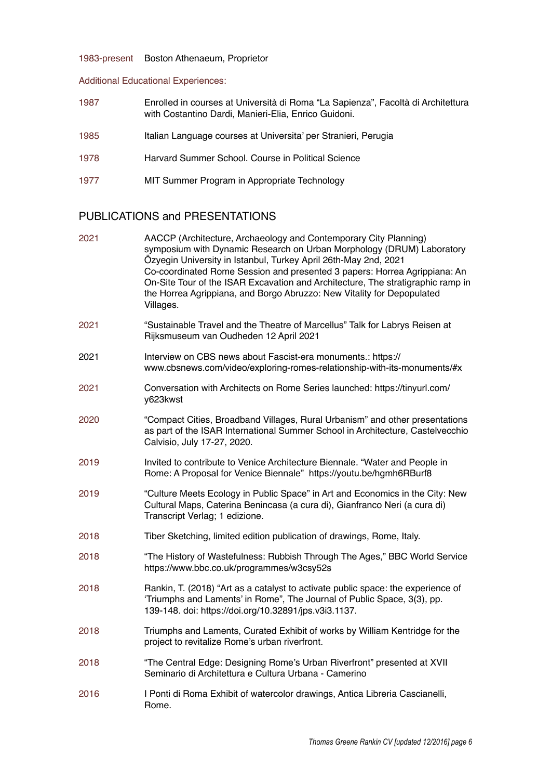### 1983-present Boston Athenaeum, Proprietor

#### Additional Educational Experiences:

| 1987 | Enrolled in courses at Università di Roma "La Sapienza", Facoltà di Architettura |
|------|----------------------------------------------------------------------------------|
|      | with Costantino Dardi, Manieri-Elia, Enrico Guidoni.                             |

- 1985 Italian Language courses at Universita' per Stranieri, Perugia
- 1978 Harvard Summer School. Course in Political Science
- 1977 MIT Summer Program in Appropriate Technology

# PUBLICATIONS and PRESENTATIONS

| 2021 | AACCP (Architecture, Archaeology and Contemporary City Planning)<br>symposium with Dynamic Research on Urban Morphology (DRUM) Laboratory<br>Özyegin University in Istanbul, Turkey April 26th-May 2nd, 2021<br>Co-coordinated Rome Session and presented 3 papers: Horrea Agrippiana: An<br>On-Site Tour of the ISAR Excavation and Architecture, The stratigraphic ramp in<br>the Horrea Agrippiana, and Borgo Abruzzo: New Vitality for Depopulated<br>Villages. |
|------|---------------------------------------------------------------------------------------------------------------------------------------------------------------------------------------------------------------------------------------------------------------------------------------------------------------------------------------------------------------------------------------------------------------------------------------------------------------------|
| 2021 | "Sustainable Travel and the Theatre of Marcellus" Talk for Labrys Reisen at<br>Rijksmuseum van Oudheden 12 April 2021                                                                                                                                                                                                                                                                                                                                               |
| 2021 | Interview on CBS news about Fascist-era monuments.: https://<br>www.cbsnews.com/video/exploring-romes-relationship-with-its-monuments/#x                                                                                                                                                                                                                                                                                                                            |
| 2021 | Conversation with Architects on Rome Series launched: https://tinyurl.com/<br>y623kwst                                                                                                                                                                                                                                                                                                                                                                              |
| 2020 | "Compact Cities, Broadband Villages, Rural Urbanism" and other presentations<br>as part of the ISAR International Summer School in Architecture, Castelvecchio<br>Calvisio, July 17-27, 2020.                                                                                                                                                                                                                                                                       |
| 2019 | Invited to contribute to Venice Architecture Biennale. "Water and People in<br>Rome: A Proposal for Venice Biennale" https://youtu.be/hgmh6RBurf8                                                                                                                                                                                                                                                                                                                   |
| 2019 | "Culture Meets Ecology in Public Space" in Art and Economics in the City: New<br>Cultural Maps, Caterina Benincasa (a cura di), Gianfranco Neri (a cura di)<br>Transcript Verlag; 1 edizione.                                                                                                                                                                                                                                                                       |
| 2018 | Tiber Sketching, limited edition publication of drawings, Rome, Italy.                                                                                                                                                                                                                                                                                                                                                                                              |
| 2018 | "The History of Wastefulness: Rubbish Through The Ages," BBC World Service<br>https://www.bbc.co.uk/programmes/w3csy52s                                                                                                                                                                                                                                                                                                                                             |
| 2018 | Rankin, T. (2018) "Art as a catalyst to activate public space: the experience of<br>'Triumphs and Laments' in Rome", The Journal of Public Space, 3(3), pp.<br>139-148. doi: https://doi.org/10.32891/jps.v3i3.1137.                                                                                                                                                                                                                                                |
| 2018 | Triumphs and Laments, Curated Exhibit of works by William Kentridge for the<br>project to revitalize Rome's urban riverfront.                                                                                                                                                                                                                                                                                                                                       |
| 2018 | "The Central Edge: Designing Rome's Urban Riverfront" presented at XVII<br>Seminario di Architettura e Cultura Urbana - Camerino                                                                                                                                                                                                                                                                                                                                    |
| 2016 | I Ponti di Roma Exhibit of watercolor drawings, Antica Libreria Cascianelli,<br>Rome.                                                                                                                                                                                                                                                                                                                                                                               |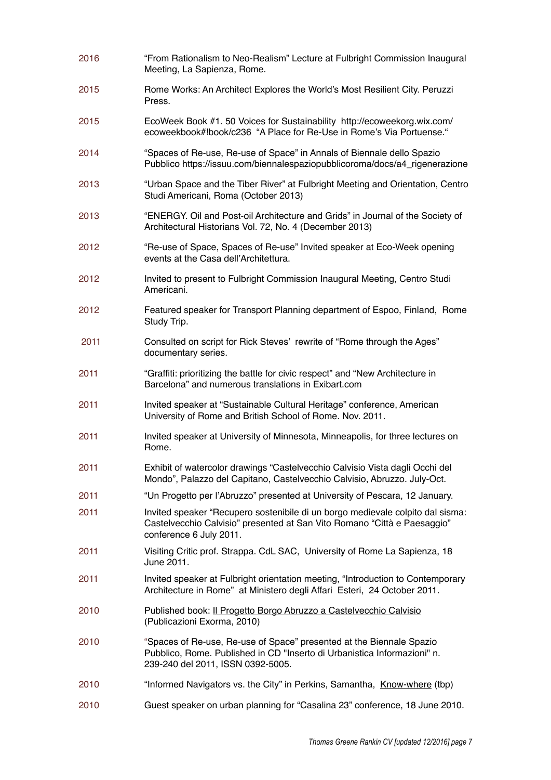2016 "From Rationalism to Neo-Realism" Lecture at Fulbright Commission Inaugural Meeting, La Sapienza, Rome. 2015 Rome Works: An Architect Explores the World's Most Resilient City. Peruzzi Press. 2015 EcoWeek Book #1. 50 Voices for Sustainability http://ecoweekorg.wix.com/ ecoweekbook#!book/c236 "A Place for Re-Use in Rome's Via Portuense." 2014 "Spaces of Re-use, Re-use of Space" in Annals of Biennale dello Spazio Pubblico https://issuu.com/biennalespaziopubblicoroma/docs/a4\_rigenerazione 2013 "Urban Space and the Tiber River" at Fulbright Meeting and Orientation, Centro Studi Americani, Roma (October 2013) 2013 "ENERGY. Oil and Post-oil Architecture and Grids" in Journal of the Society of Architectural Historians Vol. 72, No. 4 (December 2013) 2012 "Re-use of Space, Spaces of Re-use" Invited speaker at Eco-Week opening events at the Casa dell'Architettura. 2012 Invited to present to Fulbright Commission Inaugural Meeting, Centro Studi Americani. 2012 Featured speaker for Transport Planning department of Espoo, Finland, Rome Study Trip. 2011 Consulted on script for Rick Steves' rewrite of "Rome through the Ages" documentary series. 2011 "Graffiti: prioritizing the battle for civic respect" and "New Architecture in Barcelona" and numerous translations in Exibart.com 2011 Invited speaker at "Sustainable Cultural Heritage" conference, American University of Rome and British School of Rome. Nov. 2011. 2011 Invited speaker at University of Minnesota, Minneapolis, for three lectures on Rome. 2011 Exhibit of watercolor drawings "Castelvecchio Calvisio Vista dagli Occhi del Mondo", Palazzo del Capitano, Castelvecchio Calvisio, Abruzzo. July-Oct. 2011 "Un Progetto per l'Abruzzo" presented at University of Pescara, 12 January. 2011 Invited speaker "Recupero sostenibile di un borgo medievale colpito dal sisma: Castelvecchio Calvisio" presented at San Vito Romano "Città e Paesaggio" conference 6 July 2011. 2011 Visiting Critic prof. Strappa. CdL SAC, University of Rome La Sapienza, 18 June 2011. 2011 Invited speaker at Fulbright orientation meeting, "Introduction to Contemporary Architecture in Rome" at Ministero degli Affari Esteri, 24 October 2011. 2010 Published book: Il Progetto Borgo Abruzzo a Castelvecchio Calvisio (Publicazioni Exorma, 2010) 2010 "Spaces of Re-use, Re-use of Space" presented at the Biennale Spazio Pubblico, Rome. Published in CD "Inserto di Urbanistica Informazioni" n. 239-240 del 2011, ISSN 0392-5005. 2010 "Informed Navigators vs. the City" in Perkins, Samantha, Know-where (tbp) 2010 Guest speaker on urban planning for "Casalina 23" conference, 18 June 2010.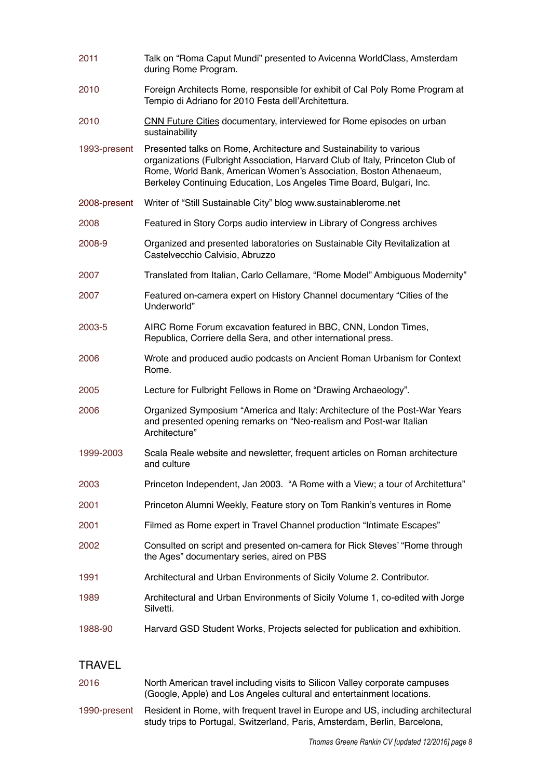| 2011          | Talk on "Roma Caput Mundi" presented to Avicenna WorldClass, Amsterdam<br>during Rome Program.                                                                                                                                                                                                     |
|---------------|----------------------------------------------------------------------------------------------------------------------------------------------------------------------------------------------------------------------------------------------------------------------------------------------------|
| 2010          | Foreign Architects Rome, responsible for exhibit of Cal Poly Rome Program at<br>Tempio di Adriano for 2010 Festa dell'Architettura.                                                                                                                                                                |
| 2010          | CNN Future Cities documentary, interviewed for Rome episodes on urban<br>sustainability                                                                                                                                                                                                            |
| 1993-present  | Presented talks on Rome, Architecture and Sustainability to various<br>organizations (Fulbright Association, Harvard Club of Italy, Princeton Club of<br>Rome, World Bank, American Women's Association, Boston Athenaeum,<br>Berkeley Continuing Education, Los Angeles Time Board, Bulgari, Inc. |
| 2008-present  | Writer of "Still Sustainable City" blog www.sustainablerome.net                                                                                                                                                                                                                                    |
| 2008          | Featured in Story Corps audio interview in Library of Congress archives                                                                                                                                                                                                                            |
| 2008-9        | Organized and presented laboratories on Sustainable City Revitalization at<br>Castelvecchio Calvisio, Abruzzo                                                                                                                                                                                      |
| 2007          | Translated from Italian, Carlo Cellamare, "Rome Model" Ambiguous Modernity"                                                                                                                                                                                                                        |
| 2007          | Featured on-camera expert on History Channel documentary "Cities of the<br>Underworld"                                                                                                                                                                                                             |
| 2003-5        | AIRC Rome Forum excavation featured in BBC, CNN, London Times,<br>Republica, Corriere della Sera, and other international press.                                                                                                                                                                   |
| 2006          | Wrote and produced audio podcasts on Ancient Roman Urbanism for Context<br>Rome.                                                                                                                                                                                                                   |
| 2005          | Lecture for Fulbright Fellows in Rome on "Drawing Archaeology".                                                                                                                                                                                                                                    |
| 2006          | Organized Symposium "America and Italy: Architecture of the Post-War Years<br>and presented opening remarks on "Neo-realism and Post-war Italian<br>Architecture"                                                                                                                                  |
| 1999-2003     | Scala Reale website and newsletter, frequent articles on Roman architecture<br>and culture                                                                                                                                                                                                         |
| 2003          | Princeton Independent, Jan 2003. "A Rome with a View; a tour of Architettura"                                                                                                                                                                                                                      |
| 2001          | Princeton Alumni Weekly, Feature story on Tom Rankin's ventures in Rome                                                                                                                                                                                                                            |
| 2001          | Filmed as Rome expert in Travel Channel production "Intimate Escapes"                                                                                                                                                                                                                              |
| 2002          | Consulted on script and presented on-camera for Rick Steves' "Rome through<br>the Ages" documentary series, aired on PBS                                                                                                                                                                           |
| 1991          | Architectural and Urban Environments of Sicily Volume 2. Contributor.                                                                                                                                                                                                                              |
| 1989          | Architectural and Urban Environments of Sicily Volume 1, co-edited with Jorge<br>Silvetti.                                                                                                                                                                                                         |
| 1988-90       | Harvard GSD Student Works, Projects selected for publication and exhibition.                                                                                                                                                                                                                       |
| <b>TRAVEL</b> |                                                                                                                                                                                                                                                                                                    |

## (Google, Apple) and Los Angeles cultural and entertainment locations. 1990-present Resident in Rome, with frequent travel in Europe and US, including architectural study trips to Portugal, Switzerland, Paris, Amsterdam, Berlin, Barcelona,

2016 North American travel including visits to Silicon Valley corporate campuses